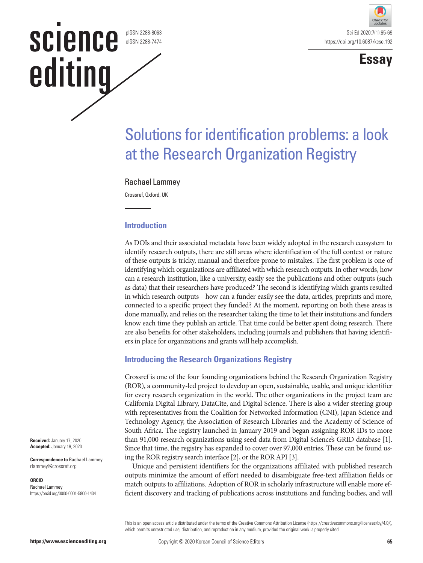#### pISSN 2288-8063 eISSN 2288-7474

science

editing





# Solutions for identification problems: a look at the Research Organization Registry

## Rachael Lammey

Crossref, Oxford, UK

## **Introduction**

As DOIs and their associated metadata have been widely adopted in the research ecosystem to identify research outputs, there are still areas where identification of the full context or nature of these outputs is tricky, manual and therefore prone to mistakes. The first problem is one of identifying which organizations are affiliated with which research outputs. In other words, how can a research institution, like a university, easily see the publications and other outputs (such as data) that their researchers have produced? The second is identifying which grants resulted in which research outputs—how can a funder easily see the data, articles, preprints and more, connected to a specific project they funded? At the moment, reporting on both these areas is done manually, and relies on the researcher taking the time to let their institutions and funders know each time they publish an article. That time could be better spent doing research. There are also benefits for other stakeholders, including journals and publishers that having identifiers in place for organizations and grants will help accomplish.

# **Introducing the Research Organizations Registry**

Crossref is one of the four founding organizations behind the Research Organization Registry (ROR), a community-led project to develop an open, sustainable, usable, and unique identifier for every research organization in the world. The other organizations in the project team are California Digital Library, DataCite, and Digital Science. There is also a wider steering group with representatives from the Coalition for Networked Information (CNI), Japan Science and Technology Agency, the Association of Research Libraries and the Academy of Science of South Africa. The registry launched in January 2019 and began assigning ROR IDs to more than 91,000 research organizations using seed data from Digital Science's GRID database [1]. Since that time, the registry has expanded to cover over 97,000 entries. These can be found using the ROR registry search interface [2], or the ROR API [3].

Unique and persistent identifiers for the organizations affiliated with published research outputs minimize the amount of effort needed to disambiguate free-text affiliation fields or match outputs to affiliations. Adoption of ROR in scholarly infrastructure will enable more efficient discovery and tracking of publications across institutions and funding bodies, and will

This is an open access article distributed under the terms of the Creative Commons Attribution License (https://creativecommons.org/licenses/by/4.0/), which permits unrestricted use, distribution, and reproduction in any medium, provided the original work is properly cited.

**Received:** January 17, 2020 **Accepted:** January 19, 2020

**Correspondence to** Rachael Lammey rlammey@crossref.org

#### **ORCID**

Rachael Lammey https://orcid.org/0000-0001-5800-1434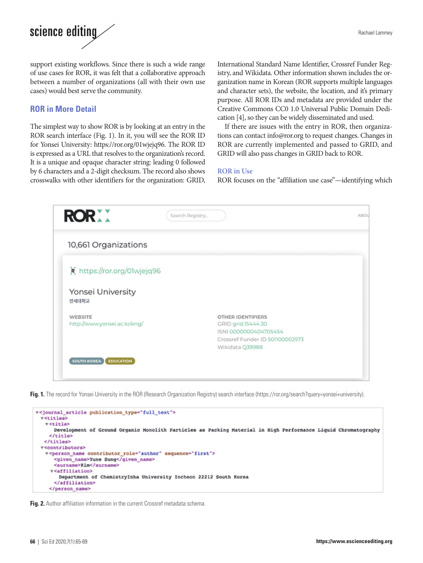

support existing workflows. Since there is such a wide range of use cases for ROR, it was felt that a collaborative approach between a number of organizations (all with their own use cases) would best serve the community.

## **ROR in More Detail**

The simplest way to show ROR is by looking at an entry in the ROR search interface (Fig. 1). In it, you will see the ROR ID for Yonsei University: <https://ror.org/01wjejq96>. The ROR ID is expressed as a URL that resolves to the organization's record. It is a unique and opaque character string: leading 0 followed by 6 characters and a 2-digit checksum. The record also shows crosswalks with other identifiers for the organization: GRID,

International Standard Name Identifier, Crossref Funder Registry, and Wikidata. Other information shown includes the organization name in Korean (ROR supports multiple languages and character sets), the website, the location, and it's primary purpose. All ROR IDs and metadata are provided under the Creative Commons CC0 1.0 Universal Public Domain Dedication [4], so they can be widely disseminated and used.

If there are issues with the entry in ROR, then organizations can contact info@ror.org to request changes. Changes in ROR are currently implemented and passed to GRID, and GRID will also pass changes in GRID back to ROR.

### **ROR in Use**

ROR focuses on the "affiliation use case"—identifying which



**Fig. 1.** The record for Yonsei University in the ROR (Research Organization Registry) search interface (https://ror.org/search?query=yonsei+university).

```
v<journal_article publication_type="full_text">
v<titles>
  v<title>
    Development of Ground Organic Monolith Particles as Packing Material in High Performance Liquid Chromatography
   \le/title?
 </titles>
v<contributors>
  v<person_name contributor_role="author" sequence="first">
     <given_name>Yune Sung</given_name>
     <surname>Kim</surname>
   v<affiliation>
      Department of ChemistryInha University Incheon 22212 South Korea
     </affiliation>
   </person name>
```
**Fig. 2.** Author affiliation information in the current Crossref metadata schema.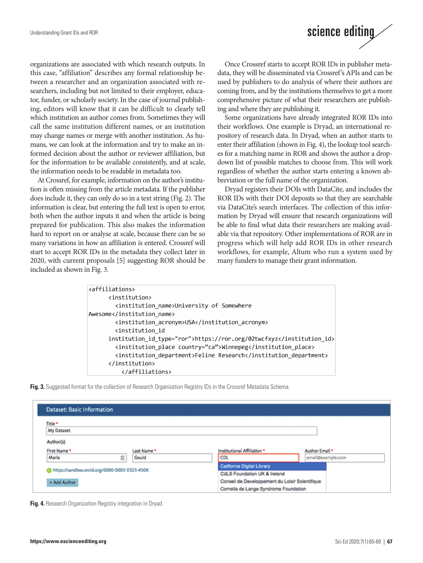organizations are associated with which research outputs. In this case, "affiliation" describes any formal relationship between a researcher and an organization associated with researchers, including but not limited to their employer, educator, funder, or scholarly society. In the case of journal publishing, editors will know that it can be difficult to clearly tell which institution an author comes from. Sometimes they will call the same institution different names, or an institution may change names or merge with another institution. As humans, we can look at the information and try to make an informed decision about the author or reviewer affiliation, but for the information to be available consistently, and at scale, the information needs to be readable in metadata too.

At Crossref, for example, information on the author's institution is often missing from the article metadata. If the publisher does include it, they can only do so in a text string (Fig. 2). The information is clear, but entering the full text is open to error, both when the author inputs it and when the article is being prepared for publication. This also makes the information hard to report on or analyse at scale, because there can be so many variations in how an affiliation is entered. Crossref will start to accept ROR IDs in the metadata they collect later in 2020, with current proposals [5] suggesting ROR should be included as shown in Fig. 3.



Once Crossref starts to accept ROR IDs in publisher metadata, they will be disseminated via Crossref's APIs and can be used by publishers to do analysis of where their authors are coming from, and by the institutions themselves to get a more comprehensive picture of what their researchers are publishing and where they are publishing it.

Some organizations have already integrated ROR IDs into their workflows. One example is Dryad, an international repository of research data. In Dryad, when an author starts to enter their affiliation (shown in Fig. 4), the lookup tool searches for a matching name in ROR and shows the author a dropdown list of possible matches to choose from. This will work regardless of whether the author starts entering a known abbreviation or the full name of the organization.

Dryad registers their DOIs with DataCite, and includes the ROR IDs with their DOI deposits so that they are searchable via DataCite's search interfaces. The collection of this information by Dryad will ensure that research organizations will be able to find what data their researchers are making available via that repository. Other implementations of ROR are in progress which will help add ROR IDs in other research workflows, for example, Altum who run a system used by many funders to manage their grant information.

| <affiliations></affiliations>                                |
|--------------------------------------------------------------|
| <institution></institution>                                  |
| <institution name="">University of Somewhere</institution>   |
| Awesome                                                      |
| <institution acronym="">USA</institution>                    |
| <institution id<="" th=""></institution>                     |
| institution id type="ror">https://ror.org/02twcfxyz          |
| <institution_place country="ca">Winnepeg</institution_place> |
| <institution department="">Feline Research</institution>     |
|                                                              |
|                                                              |

**Fig. 3.** Suggested format for the collection of Research Organization Registry IDs in the Crossref Metadata Schema.

| <b>Dataset: Basic Information</b>             |            |                            |                                                 |                |                   |  |
|-----------------------------------------------|------------|----------------------------|-------------------------------------------------|----------------|-------------------|--|
| Title *                                       |            |                            |                                                 |                |                   |  |
| My Dataset                                    |            |                            |                                                 |                |                   |  |
| Author(s)                                     |            |                            |                                                 |                |                   |  |
| First Name *                                  | Last Name* |                            | Institutional Affiliation *                     | Author Email * |                   |  |
| ⊕<br>Maria                                    | Gould      |                            | <b>CDL</b>                                      |                | email@example.com |  |
|                                               |            | California Digital Library |                                                 |                |                   |  |
| https://sandbox.orcid.org/0000-0003-0323-450X |            |                            | CdLS Foundation UK & Ireland                    |                |                   |  |
| + Add Author                                  |            |                            | Conseil de Developpement du Loisir Scientifique |                |                   |  |
|                                               |            |                            | Cornelia de Lange Syndrome Foundation           |                |                   |  |

**Fig. 4.** Research Organization Registry integration in Dryad.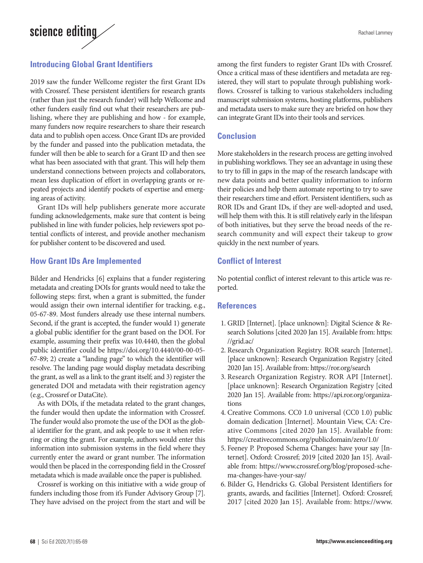

# **Introducing Global Grant Identifiers**

2019 saw the funder Wellcome register the first Grant IDs with Crossref. These persistent identifiers for research grants (rather than just the research funder) will help Wellcome and other funders easily find out what their researchers are publishing, where they are publishing and how - for example, many funders now require researchers to share their research data and to publish open access. Once Grant IDs are provided by the funder and passed into the publication metadata, the funder will then be able to search for a Grant ID and then see what has been associated with that grant. This will help them understand connections between projects and collaborators, mean less duplication of effort in overlapping grants or repeated projects and identify pockets of expertise and emerging areas of activity.

Grant IDs will help publishers generate more accurate funding acknowledgements, make sure that content is being published in line with funder policies, help reviewers spot potential conflicts of interest, and provide another mechanism for publisher content to be discovered and used.

## **How Grant IDs Are Implemented**

Bilder and Hendricks [6] explains that a funder registering metadata and creating DOIs for grants would need to take the following steps: first, when a grant is submitted, the funder would assign their own internal identifier for tracking, e.g., 05-67-89. Most funders already use these internal numbers. Second, if the grant is accepted, the funder would 1) generate a global public identifier for the grant based on the DOI. For example, assuming their prefix was 10.4440, then the global public identifier could be https://doi.org/10.4440/00-00-05- 67-89; 2) create a "landing page" to which the identifier will resolve. The landing page would display metadata describing the grant, as well as a link to the grant itself; and 3) register the generated DOI and metadata with their registration agency (e.g., Crossref or DataCite).

As with DOIs, if the metadata related to the grant changes, the funder would then update the information with Crossref. The funder would also promote the use of the DOI as the global identifier for the grant, and ask people to use it when referring or citing the grant. For example, authors would enter this information into submission systems in the field where they currently enter the award or grant number. The information would then be placed in the corresponding field in the Crossref metadata which is made available once the paper is published.

Crossref is working on this initiative with a wide group of funders including those from it's Funder Advisory Group [7]. They have advised on the project from the start and will be

among the first funders to register Grant IDs with Crossref. Once a critical mass of these identifiers and metadata are registered, they will start to populate through publishing workflows. Crossref is talking to various stakeholders including manuscript submission systems, hosting platforms, publishers and metadata users to make sure they are briefed on how they can integrate Grant IDs into their tools and services.

# **Conclusion**

More stakeholders in the research process are getting involved in publishing workflows. They see an advantage in using these to try to fill in gaps in the map of the research landscape with new data points and better quality information to inform their policies and help them automate reporting to try to save their researchers time and effort. Persistent identifiers, such as ROR IDs and Grant IDs, if they are well-adopted and used, will help them with this. It is still relatively early in the lifespan of both initiatives, but they serve the broad needs of the research community and will expect their takeup to grow quickly in the next number of years.

# **Conflict of Interest**

No potential conflict of interest relevant to this article was reported.

## **References**

- 1. GRID [Internet]. [place unknown]: Digital Science & Research Solutions [cited 2020 Jan 15]. Available from: [https:](https://grid.ac/)  [//grid.ac/](https://grid.ac/)
- 2. Research Organization Registry. ROR search [Internet]. [place unknown]: Research Organization Registry [cited 2020 Jan 15]. Available from: https://ror.org/search
- 3. Research Organization Registry. ROR API [Internet]. [place unknown]: Research Organization Registry [cited 2020 Jan 15]. Available from: [https://api.ror.org/organiza](https://api.ror.org/organizations)[tions](https://api.ror.org/organizations)
- 4. Creative Commons. CC0 1.0 universal (CC0 1.0) public domain dedication [Internet]. Mountain View, CA: Creative Commons [cited 2020 Jan 15]. Available from: https://creativecommons.org/publicdomain/zero/1.0/
- 5. Feeney P. Proposed Schema Changes: have your say [Internet]. Oxford: Crossref; 2019 [cited 2020 Jan 15]. Available from: [https://www.crossref.org/blog/proposed-sche](https://www.crossref.org/blog/proposed-schema-changes-have-your-say/)[ma-changes-have-your-say/](https://www.crossref.org/blog/proposed-schema-changes-have-your-say/)
- 6. Bilder G, Hendricks G. Global Persistent Identifiers for grants, awards, and facilities [Internet]. Oxford: Crossref; 2017 [cited 2020 Jan 15]. Available from: https://www.